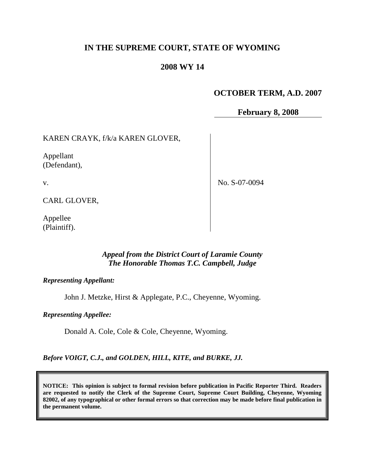# **IN THE SUPREME COURT, STATE OF WYOMING**

## **2008 WY 14**

# **OCTOBER TERM, A.D. 2007**

**February 8, 2008**

KAREN CRAYK, f/k/a KAREN GLOVER,

Appellant (Defendant),

v.

No. S-07-0094

CARL GLOVER,

Appellee (Plaintiff).

## *Appeal from the District Court of Laramie County The Honorable Thomas T.C. Campbell, Judge*

#### *Representing Appellant:*

John J. Metzke, Hirst & Applegate, P.C., Cheyenne, Wyoming.

*Representing Appellee:*

Donald A. Cole, Cole & Cole, Cheyenne, Wyoming.

*Before VOIGT, C.J., and GOLDEN, HILL, KITE, and BURKE, JJ.*

**NOTICE: This opinion is subject to formal revision before publication in Pacific Reporter Third. Readers are requested to notify the Clerk of the Supreme Court, Supreme Court Building, Cheyenne, Wyoming 82002, of any typographical or other formal errors so that correction may be made before final publication in the permanent volume.**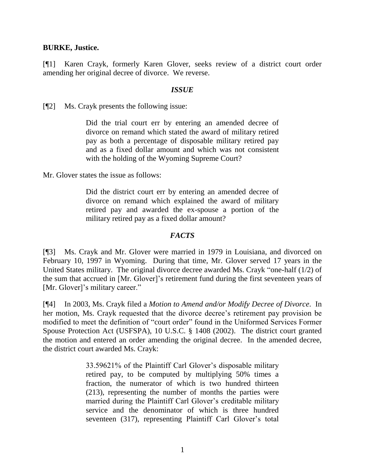## **BURKE, Justice.**

[¶1] Karen Crayk, formerly Karen Glover, seeks review of a district court order amending her original decree of divorce. We reverse.

### *ISSUE*

[¶2] Ms. Crayk presents the following issue:

Did the trial court err by entering an amended decree of divorce on remand which stated the award of military retired pay as both a percentage of disposable military retired pay and as a fixed dollar amount and which was not consistent with the holding of the Wyoming Supreme Court?

Mr. Glover states the issue as follows:

Did the district court err by entering an amended decree of divorce on remand which explained the award of military retired pay and awarded the ex-spouse a portion of the military retired pay as a fixed dollar amount?

#### *FACTS*

[¶3] Ms. Crayk and Mr. Glover were married in 1979 in Louisiana, and divorced on February 10, 1997 in Wyoming. During that time, Mr. Glover served 17 years in the United States military. The original divorce decree awarded Ms. Crayk "one-half (1/2) of the sum that accrued in [Mr. Glover]'s retirement fund during the first seventeen years of [Mr. Glover]'s military career."

[¶4] In 2003, Ms. Crayk filed a *Motion to Amend and/or Modify Decree of Divorce*. In her motion, Ms. Crayk requested that the divorce decree's retirement pay provision be modified to meet the definition of "court order" found in the Uniformed Services Former Spouse Protection Act (USFSPA), 10 U.S.C. § 1408 (2002). The district court granted the motion and entered an order amending the original decree. In the amended decree, the district court awarded Ms. Crayk:

> 33.59621% of the Plaintiff Carl Glover's disposable military retired pay, to be computed by multiplying 50% times a fraction, the numerator of which is two hundred thirteen (213), representing the number of months the parties were married during the Plaintiff Carl Glover's creditable military service and the denominator of which is three hundred seventeen (317), representing Plaintiff Carl Glover's total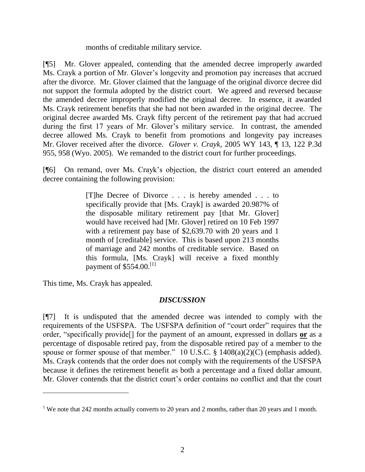months of creditable military service.

[¶5] Mr. Glover appealed, contending that the amended decree improperly awarded Ms. Crayk a portion of Mr. Glover's longevity and promotion pay increases that accrued after the divorce. Mr. Glover claimed that the language of the original divorce decree did not support the formula adopted by the district court. We agreed and reversed because the amended decree improperly modified the original decree. In essence, it awarded Ms. Crayk retirement benefits that she had not been awarded in the original decree. The original decree awarded Ms. Crayk fifty percent of the retirement pay that had accrued during the first 17 years of Mr. Glover's military service. In contrast, the amended decree allowed Ms. Crayk to benefit from promotions and longevity pay increases Mr. Glover received after the divorce. *Glover v. Crayk*, 2005 WY 143, ¶ 13, 122 P.3d 955, 958 (Wyo. 2005). We remanded to the district court for further proceedings.

[¶6] On remand, over Ms. Crayk's objection, the district court entered an amended decree containing the following provision:

> [T]he Decree of Divorce . . . is hereby amended . . . to specifically provide that [Ms. Crayk] is awarded 20.987% of the disposable military retirement pay [that Mr. Glover] would have received had [Mr. Glover] retired on 10 Feb 1997 with a retirement pay base of \$2,639.70 with 20 years and 1 month of [creditable] service. This is based upon 213 months of marriage and 242 months of creditable service. Based on this formula, [Ms. Crayk] will receive a fixed monthly payment of  $$554.00$ <sup>[1]</sup>

This time, Ms. Crayk has appealed.

## *DISCUSSION*

[¶7] It is undisputed that the amended decree was intended to comply with the requirements of the USFSPA. The USFSPA definition of "court order" requires that the order, "specifically provide[] for the payment of an amount, expressed in dollars **or** as a percentage of disposable retired pay, from the disposable retired pay of a member to the spouse or former spouse of that member." 10 U.S.C. § 1408(a)(2)(C) (emphasis added). Ms. Crayk contends that the order does not comply with the requirements of the USFSPA because it defines the retirement benefit as both a percentage and a fixed dollar amount. Mr. Glover contends that the district court's order contains no conflict and that the court

<sup>&</sup>lt;sup>1</sup> We note that 242 months actually converts to 20 years and 2 months, rather than 20 years and 1 month.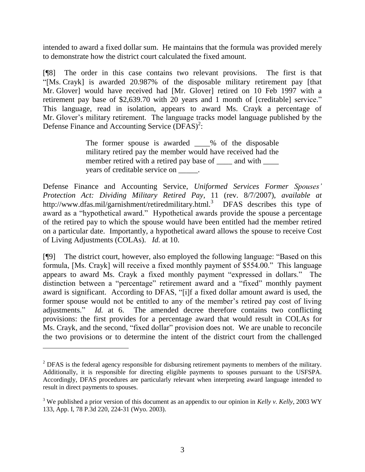intended to award a fixed dollar sum. He maintains that the formula was provided merely to demonstrate how the district court calculated the fixed amount.

[¶8] The order in this case contains two relevant provisions. The first is that "[Ms. Crayk] is awarded 20.987% of the disposable military retirement pay [that Mr. Glover] would have received had [Mr. Glover] retired on 10 Feb 1997 with a retirement pay base of \$2,639.70 with 20 years and 1 month of [creditable] service." This language, read in isolation, appears to award Ms. Crayk a percentage of Mr. Glover's military retirement. The language tracks model language published by the Defense Finance and Accounting Service  $(DFAS)^2$ :

> The former spouse is awarded \_\_\_\_% of the disposable military retired pay the member would have received had the member retired with a retired pay base of \_\_\_\_\_ and with \_\_\_\_\_ years of creditable service on \_\_\_\_\_.

Defense Finance and Accounting Service, *Uniformed Services Former Spouses' Protection Act: Dividing Military Retired Pay*, 11 (rev. 8/7/2007), *available at* http://www.dfas.mil/garnishment/retiredmilitary.html.<sup>3</sup> DFAS describes this type of award as a "hypothetical award." Hypothetical awards provide the spouse a percentage of the retired pay to which the spouse would have been entitled had the member retired on a particular date. Importantly, a hypothetical award allows the spouse to receive Cost of Living Adjustments (COLAs). *Id.* at 10.

[¶9] The district court, however, also employed the following language: "Based on this formula, [Ms. Crayk] will receive a fixed monthly payment of \$554.00." This language appears to award Ms. Crayk a fixed monthly payment "expressed in dollars." The distinction between a "percentage" retirement award and a "fixed" monthly payment award is significant. According to DFAS, "[i]f a fixed dollar amount award is used, the former spouse would not be entitled to any of the member's retired pay cost of living adjustments." *Id.* at 6. The amended decree therefore contains two conflicting provisions: the first provides for a percentage award that would result in COLAs for Ms. Crayk, and the second, "fixed dollar" provision does not. We are unable to reconcile the two provisions or to determine the intent of the district court from the challenged

 $^{2}$  DFAS is the federal agency responsible for disbursing retirement payments to members of the military. Additionally, it is responsible for directing eligible payments to spouses pursuant to the USFSPA. Accordingly, DFAS procedures are particularly relevant when interpreting award language intended to result in direct payments to spouses.

<sup>3</sup> We published a prior version of this document as an appendix to our opinion in *Kelly v. Kelly*, 2003 WY 133, App. I, 78 P.3d 220, 224-31 (Wyo. 2003).